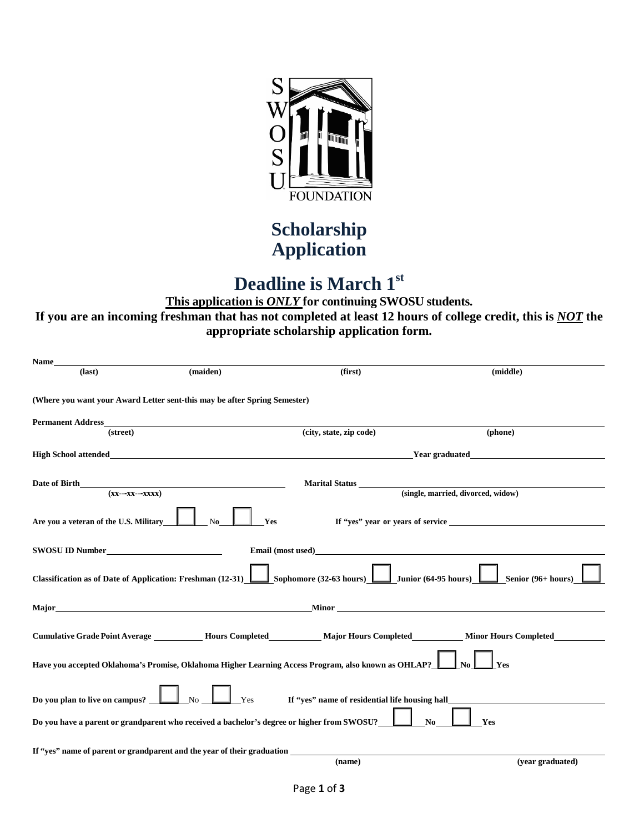

### **Scholarship Application**

# **Deadline is March 1st**

 **If you are an incoming freshman that has not completed at least 12 hours of college credit, this is** *NOT* **the This application is** *ONLY* **for continuing SWOSU students. appropriate scholarship application form.** 

| Name                                                                                                    |                                                                                            |                                                                                                     |                                                                                                                   |
|---------------------------------------------------------------------------------------------------------|--------------------------------------------------------------------------------------------|-----------------------------------------------------------------------------------------------------|-------------------------------------------------------------------------------------------------------------------|
| $(last)$                                                                                                | (maiden)                                                                                   | (first)                                                                                             | (middle)                                                                                                          |
|                                                                                                         | (Where you want your Award Letter sent-this may be after Spring Semester)                  |                                                                                                     |                                                                                                                   |
| <b>Permanent Address</b>                                                                                |                                                                                            |                                                                                                     |                                                                                                                   |
| (street)                                                                                                |                                                                                            | (city, state, zip code)                                                                             | (phone)                                                                                                           |
| <b>High School attended</b>                                                                             |                                                                                            | <b>Example 2</b> Year graduated                                                                     |                                                                                                                   |
| Date of Birth<br>$(xx---xx---xxxx)$                                                                     |                                                                                            | <b>Marital Status</b>                                                                               | (single, married, divorced, widow)                                                                                |
|                                                                                                         |                                                                                            |                                                                                                     |                                                                                                                   |
| Are you a veteran of the U.S. Military                                                                  | $\mathbf{N}\mathbf{0}$<br>Yes                                                              |                                                                                                     |                                                                                                                   |
| SWOSU ID Number                                                                                         |                                                                                            | Email (most used)<br><u>Email (most used)</u>                                                       |                                                                                                                   |
| Classification as of Date of Application: Freshman (12-31)                                              |                                                                                            | Sophomore $(32-63$ hours)                                                                           | $\Box$ Junior (64-95 hours) $\underline{\Box}$<br>Senior (96+ hours)                                              |
|                                                                                                         |                                                                                            |                                                                                                     | Major Minor (1996) and Minor (1997) and Minor (1997) and Minor (1997) and Minor (1997) and Minor (1997) and Minor |
|                                                                                                         |                                                                                            | Cumulative Grade Point Average Mours Completed Major Hours Completed Minor Hours Completed          |                                                                                                                   |
|                                                                                                         |                                                                                            | Have you accepted Oklahoma's Promise, Oklahoma Higher Learning Access Program, also known as OHLAP? | Yes                                                                                                               |
| Do you plan to live on campus? $\boxed{\phantom{\text{2.6}}\phantom{\text{2.6}}\phantom{\text{2.6}}\,}$ | No<br>Yes                                                                                  | If "yes" name of residential life housing hall                                                      |                                                                                                                   |
|                                                                                                         | Do you have a parent or grandparent who received a bachelor's degree or higher from SWOSU? |                                                                                                     | Yes<br>No.                                                                                                        |
|                                                                                                         | If "yes" name of parent or grandparent and the year of their graduation                    |                                                                                                     |                                                                                                                   |
|                                                                                                         |                                                                                            | (name)                                                                                              | (vear graduated)                                                                                                  |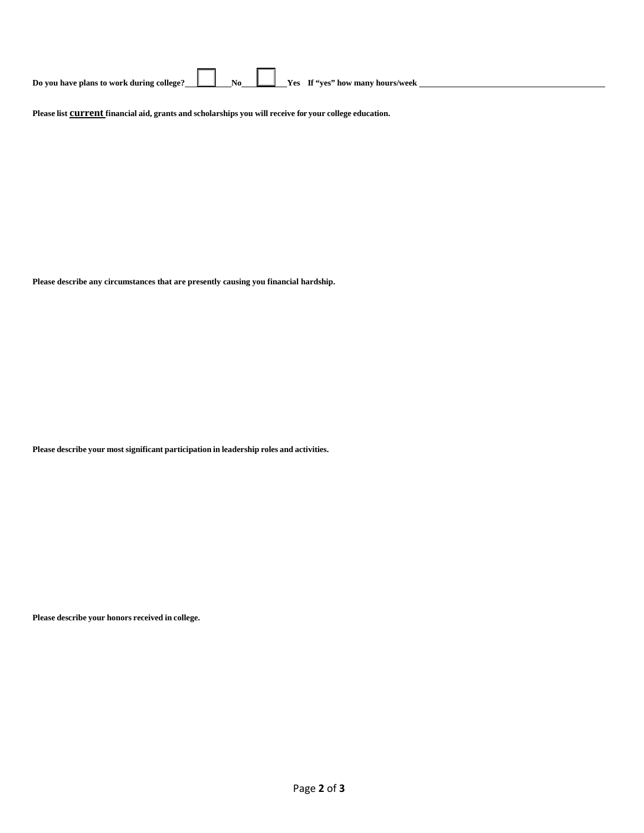Please list **Current** financial aid, grants and scholarships you will receive for your college education.

 **Please describe any circumstances that are presently causing you financial hardship.** 

 **Please describe your most significant participation in leadership roles and activities.** 

 **Please describe your honors received in college.**